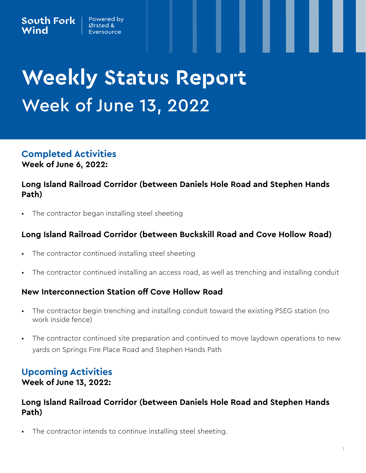## Powered by Ørsted &



# **Weekly Status Report Week of June 13, 2022**

**Completed Activities Week of June 6, 2022:**

# **Long Island Railroad Corridor (between Daniels Hole Road and Stephen Hands Path)**

The contractor began installing steel sheeting

# **Long Island Railroad Corridor (between Buckskill Road and Cove Hollow Road)**

- The contractor continued installing steel sheeting
- The contractor continued installing an access road, as well as trenching and installing conduit

## **New Interconnection Station off Cove Hollow Road**

- The contractor begin trenching and installing conduit toward the existing PSEG station (no work inside fence)
- The contractor continued site preparation and continued to move laydown operations to new yards on Springs Fire Place Road and Stephen Hands Path

## **Upcoming Activities Week of June 13, 2022:**

## **Long Island Railroad Corridor (between Daniels Hole Road and Stephen Hands Path)**

The contractor intends to continue installing steel sheeting.